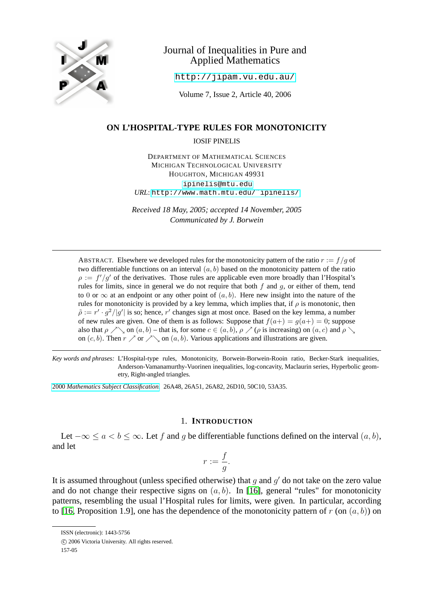

# Journal of Inequalities in Pure and Applied Mathematics

<http://jipam.vu.edu.au/>

Volume 7, Issue 2, Article 40, 2006

# **ON L'HOSPITAL-TYPE RULES FOR MONOTONICITY**

IOSIF PINELIS

DEPARTMENT OF MATHEMATICAL SCIENCES MICHIGAN TECHNOLOGICAL UNIVERSITY HOUGHTON, MICHIGAN 49931

[ipinelis@mtu.edu](mailto:ipinelis@mtu.edu) *URL*: [http://www.math.mtu.edu/˜ipinelis/](http://www.math.mtu.edu/~{}ipinelis/)

*Received 18 May, 2005; accepted 14 November, 2005 Communicated by J. Borwein*

ABSTRACT. Elsewhere we developed rules for the monotonicity pattern of the ratio  $r := f/q$  of two differentiable functions on an interval  $(a, b)$  based on the monotonicity pattern of the ratio  $\rho := f'/g'$  of the derivatives. Those rules are applicable even more broadly than l'Hospital's rules for limits, since in general we do not require that both  $f$  and  $g$ , or either of them, tend to 0 or  $\infty$  at an endpoint or any other point of  $(a, b)$ . Here new insight into the nature of the rules for monotonicity is provided by a key lemma, which implies that, if  $\rho$  is monotonic, then  $\tilde{\rho} := r' \cdot g^2 / |g'|$  is so; hence, r' changes sign at most once. Based on the key lemma, a number of new rules are given. One of them is as follows: Suppose that  $f(a+) = g(a+) = 0$ ; suppose also that  $\rho \nearrow \sim$  on  $(a, b)$  – that is, for some  $c \in (a, b)$ ,  $\rho \nearrow (\rho \text{ is increasing})$  on  $(a, c)$  and  $\rho \searrow$ on  $(c, b)$ . Then  $r \nearrow$  or  $\nearrow$  on  $(a, b)$ . Various applications and illustrations are given.

*Key words and phrases:* L'Hospital-type rules, Monotonicity, Borwein-Borwein-Rooin ratio, Becker-Stark inequalities, Anderson-Vamanamurthy-Vuorinen inequalities, log-concavity, Maclaurin series, Hyperbolic geometry, Right-angled triangles.

2000 *[Mathematics Subject Classification.](http://www.ams.org/msc/)* 26A48, 26A51, 26A82, 26D10, 50C10, 53A35.

#### 1. **INTRODUCTION**

<span id="page-0-0"></span>Let  $-\infty \le a < b \le \infty$ . Let f and g be differentiable functions defined on the interval  $(a, b)$ , and let

$$
r := \frac{f}{g}.
$$

It is assumed throughout (unless specified otherwise) that  $g$  and  $g'$  do not take on the zero value and do not change their respective signs on  $(a, b)$ . In [\[16\]](#page-17-0), general "rules" for monotonicity patterns, resembling the usual l'Hospital rules for limits, were given. In particular, according to [\[16,](#page-17-0) Proposition 1.9], one has the dependence of the monotonicity pattern of r (on  $(a, b)$ ) on

ISSN (electronic): 1443-5756

c 2006 Victoria University. All rights reserved.

<sup>157-05</sup>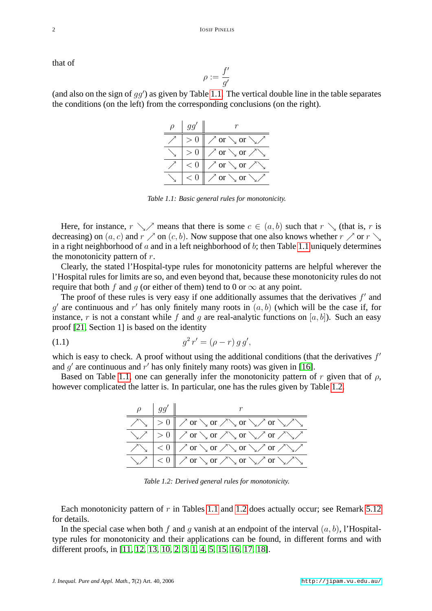that of

$$
\rho:=\frac{f'}{g'}
$$

(and also on the sign of  $gg'$ ) as given by Table [1.1.](#page-1-0) The vertical double line in the table separates the conditions (on the left) from the corresponding conclusions (on the right).

| $q\bar{q}'$ |                                         |
|-------------|-----------------------------------------|
|             | $\nearrow$ or $\searrow$ or $\searrow$  |
|             | $\sqrt{\sigma}$ or $\sqrt{\sigma}$      |
| $\lt$ (     | $\diagup$ or $\diagdown$ or $\diagup$   |
|             | $\diagup$ or $\diagdown$ or $\diagdown$ |

<span id="page-1-0"></span>*Table 1.1: Basic general rules for monotonicity.*

Here, for instance,  $r \searrow$  means that there is some  $c \in (a, b)$  such that  $r \searrow$  (that is, r is decreasing) on  $(a, c)$  and  $r \nearrow$  on  $(c, b)$ . Now suppose that one also knows whether  $r \nearrow$  or  $r \searrow$ in a right neighborhood of  $a$  and in a left neighborhood of  $b$ ; then Table [1.1](#page-1-0) uniquely determines the monotonicity pattern of  $r$ .

Clearly, the stated l'Hospital-type rules for monotonicity patterns are helpful wherever the l'Hospital rules for limits are so, and even beyond that, because these monotonicity rules do not require that both f and q (or either of them) tend to 0 or  $\infty$  at any point.

The proof of these rules is very easy if one additionally assumes that the derivatives  $f'$  and  $g'$  are continuous and r' has only finitely many roots in  $(a, b)$  (which will be the case if, for instance, r is not a constant while f and q are real-analytic functions on  $[a, b]$ ). Such an easy proof [\[21,](#page-18-0) Section 1] is based on the identity

(1.1) 
$$
g^2 r' = (\rho - r) g g',
$$

which is easy to check. A proof without using the additional conditions (that the derivatives  $f'$ and  $g'$  are continuous and  $r'$  has only finitely many roots) was given in [\[16\]](#page-17-0).

Based on Table [1.1,](#page-1-0) one can generally infer the monotonicity pattern of r given that of  $\rho$ , however complicated the latter is. In particular, one has the rules given by Table [1.2.](#page-1-1)

<span id="page-1-2"></span>

| $\rho$   $gg'$ |                                                                                                                                                                                                                                                                                                                                                                                                 |
|----------------|-------------------------------------------------------------------------------------------------------------------------------------------------------------------------------------------------------------------------------------------------------------------------------------------------------------------------------------------------------------------------------------------------|
|                | $\chi_{\text{max}}$ $\mid > 0 \mid \mid \text{max}$ or $\text{max}$ or $\text{max}$ or $\text{max}$                                                                                                                                                                                                                                                                                             |
|                | $\sqrt{2}$ > 0 $\sqrt{2}$ or $\sqrt{2}$ or $\sqrt{2}$ or $\sqrt{2}$ or $\sqrt{2}$                                                                                                                                                                                                                                                                                                               |
|                | $\bigwedge_{i=1}^n x_i \big  < 0 \big  \bigwedge_{i=1}^n \text{or } \bigwedge_{i=1}^n \text{or } \bigwedge_{i=1}^n \bigwedge_{i=1}^n x_i \big  > 0 \big  \bigwedge_{i=1}^n x_i \big  > 0 \big  \bigwedge_{i=1}^n x_i \big  > 0 \big  \bigwedge_{i=1}^n x_i \big  > 0 \big  \bigwedge_{i=1}^n x_i \big  > 0 \big  \bigwedge_{i=1}^n x_i \big  > 0 \big  \bigwedge_{i=1}^n x_i \big  > 0 \big  \$ |
|                | $\sqrt{2\pi}$ $\sqrt{2}$ or $\sqrt{2}$ or $\sqrt{2}$ or $\sqrt{2}$ or $\sqrt{2}$                                                                                                                                                                                                                                                                                                                |

<span id="page-1-1"></span>*Table 1.2: Derived general rules for monotonicity.*

Each monotonicity pattern of r in Tables [1.1](#page-1-0) and [1.2](#page-1-1) does actually occur; see Remark  $5.12$ for details.

In the special case when both f and q vanish at an endpoint of the interval  $(a, b)$ , l'Hospitaltype rules for monotonicity and their applications can be found, in different forms and with different proofs, in [\[11,](#page-17-1) [12,](#page-17-2) [13,](#page-17-3) [10,](#page-17-4) [2,](#page-17-5) [3,](#page-17-6) [1,](#page-17-7) [4,](#page-17-8) [5,](#page-17-9) [15,](#page-17-10) [16,](#page-17-0) [17,](#page-17-11) [18\]](#page-18-1).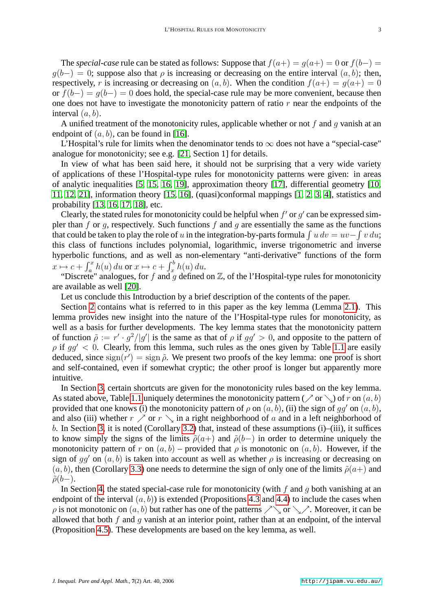The *special-case* rule can be stated as follows: Suppose that  $f(a+) = g(a+) = 0$  or  $f(b-) = 0$  $q(b-) = 0$ ; suppose also that  $\rho$  is increasing or decreasing on the entire interval  $(a, b)$ ; then, respectively, r is increasing or decreasing on  $(a, b)$ . When the condition  $f(a+) = g(a+) = 0$ or  $f(b-) = q(b-) = 0$  does hold, the special-case rule may be more convenient, because then one does not have to investigate the monotonicity pattern of ratio  $r$  near the endpoints of the interval  $(a, b)$ .

A unified treatment of the monotonicity rules, applicable whether or not f and g vanish at an endpoint of  $(a, b)$ , can be found in [\[16\]](#page-17-0).

L'Hospital's rule for limits when the denominator tends to  $\infty$  does not have a "special-case" analogue for monotonicity; see e.g. [\[21,](#page-18-0) Section 1] for details.

In view of what has been said here, it should not be surprising that a very wide variety of applications of these l'Hospital-type rules for monotonicity patterns were given: in areas of analytic inequalities [\[5,](#page-17-9) [15,](#page-17-10) [16,](#page-17-0) [19\]](#page-18-2), approximation theory [\[17\]](#page-17-11), differential geometry [\[10,](#page-17-4) [11,](#page-17-1) [12,](#page-17-2) [21\]](#page-18-0), information theory [\[15,](#page-17-10) [16\]](#page-17-0), (quasi)conformal mappings [\[1,](#page-17-7) [2,](#page-17-5) [3,](#page-17-6) [4\]](#page-17-8), statistics and probability [\[13,](#page-17-3) [16,](#page-17-0) [17,](#page-17-11) [18\]](#page-18-1), etc.

Clearly, the stated rules for monotonicity could be helpful when  $f'$  or  $g'$  can be expressed simpler than f or q, respectively. Such functions f and q are essentially the same as the functions that could be taken to play the role of u in the integration-by-parts formula  $\int u dv = uv - \int v du$ ; this class of functions includes polynomial, logarithmic, inverse trigonometric and inverse hyperbolic functions, and as well as non-elementary "anti-derivative" functions of the form  $x \mapsto c + \int_a^x h(u) \, du$  or  $x \mapsto c + \int_x^b h(u) \, du$ .

"Discrete" analogues, for f and q defined on  $\mathbb{Z}$ , of the l'Hospital-type rules for monotonicity are available as well [\[20\]](#page-18-3).

Let us conclude this Introduction by a brief description of the contents of the paper.

Section [2](#page-3-0) contains what is referred to in this paper as the key lemma (Lemma [2.1\)](#page-3-1). This lemma provides new insight into the nature of the l'Hospital-type rules for monotonicity, as well as a basis for further developments. The key lemma states that the monotonicity pattern of function  $\tilde{\rho} := r' \cdot g^2/|g'|$  is the same as that of  $\rho$  if  $gg' > 0$ , and opposite to the pattern of  $\rho$  if  $qq' < 0$ . Clearly, from this lemma, such rules as the ones given by Table [1.1](#page-1-0) are easily deduced, since  $sign(r') = sign \tilde{\rho}$ . We present two proofs of the key lemma: one proof is short and self-contained, even if somewhat cryptic; the other proof is longer but apparently more intuitive.

In Section [3,](#page-5-0) certain shortcuts are given for the monotonicity rules based on the key lemma. As stated above, Table [1.1](#page-1-0) uniquely determines the monotonicity pattern ( $\nearrow$  or  $\searrow$ ) of r on  $(a, b)$ provided that one knows (i) the monotonicity pattern of  $\rho$  on  $(a, b)$ , (ii) the sign of gg' on  $(a, b)$ , and also (iii) whether  $r \nearrow$  or  $r \searrow$  in a right neighborhood of a and in a left neighborhood of b. In Section [3,](#page-5-0) it is noted (Corollary [3.2\)](#page-5-1) that, instead of these assumptions (i)–(iii), it suffices to know simply the signs of the limits  $\tilde{\rho}(a+)$  and  $\tilde{\rho}(b-)$  in order to determine uniquely the monotonicity pattern of r on  $(a, b)$  – provided that  $\rho$  is monotonic on  $(a, b)$ . However, if the sign of  $qq'$  on  $(a, b)$  is taken into account as well as whether  $\rho$  is increasing or decreasing on  $(a, b)$ , then (Corollary [3.3\)](#page-5-2) one needs to determine the sign of only one of the limits  $\tilde{\rho}(a+)$  and  $\tilde{\rho}(b-)$ .

In Section [4,](#page-6-0) the stated special-case rule for monotonicity (with  $f$  and  $q$  both vanishing at an endpoint of the interval  $(a, b)$  is extended (Propositions [4.3](#page-7-0) and [4.4\)](#page-8-0) to include the cases when  $\rho$  is not monotonic on  $(a, b)$  but rather has one of the patterns  $\nearrow \,$  or  $\searrow \nearrow$ . Moreover, it can be allowed that both  $f$  and  $q$  vanish at an interior point, rather than at an endpoint, of the interval (Proposition [4.5\)](#page-8-1). These developments are based on the key lemma, as well.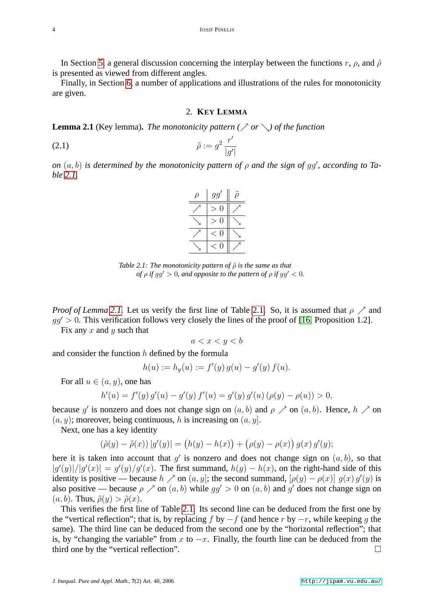In Section [5,](#page-9-0) a general discussion concerning the interplay between the functions r,  $\rho$ , and  $\tilde{\rho}$ is presented as viewed from different angles.

Finally, in Section [6,](#page-13-0) a number of applications and illustrations of the rules for monotonicity are given.

#### <span id="page-3-2"></span>2. **KEY LEMMA**

<span id="page-3-1"></span><span id="page-3-0"></span>**Lemma 2.1** (Key lemma). *The monotonicity pattern (* $\nearrow$  *or*  $\searrow$ ) *of the function* 

$$
\tilde{\rho} := g^2 \frac{r'}{|g'|}
$$

*on*  $(a, b)$  *is determined by the monotonicity pattern of*  $\rho$  *and the sign of gg', according to Table [2.1.](#page-1-0)*

| gg' |  |
|-----|--|
| Ò,  |  |
| 0   |  |
| Q   |  |
|     |  |

*Table 2.1: The monotonicity pattern of*  $\tilde{\rho}$  *is the same as that of*  $\rho$  *if*  $gg' > 0$ *, and opposite to the pattern of*  $\rho$  *if*  $gg' < 0$ *.* 

*Proof of Lemma* [2.1.](#page-1-0) Let us verify the first line of Table 2.1. So, it is assumed that  $\rho \nearrow$  and  $gg' > 0$ . This verification follows very closely the lines of the proof of [\[16,](#page-17-0) Proposition 1.2].

Fix any  $x$  and  $y$  such that

$$
a < x < y < b
$$

and consider the function  $h$  defined by the formula

$$
h(u) := h_y(u) := f'(y) g(u) - g'(y) f(u).
$$

For all  $u \in (a, y)$ , one has

$$
h'(u) = f'(y) g'(u) - g'(y) f'(u) = g'(y) g'(u) (\rho(y) - \rho(u)) > 0,
$$

because g' is nonzero and does not change sign on  $(a, b)$  and  $\rho \nearrow$  on  $(a, b)$ . Hence,  $h \nearrow$  on  $(a, y)$ ; moreover, being continuous, h is increasing on  $(a, y)$ .

Next, one has a key identity

$$
(\tilde{\rho}(y) - \tilde{\rho}(x)) |g'(y)| = (h(y) - h(x)) + (\rho(y) - \rho(x)) g(x) g'(y);
$$

here it is taken into account that  $g'$  is nonzero and does not change sign on  $(a, b)$ , so that  $|g'(y)|/|g'(x)| = g'(y)/g'(x)$ . The first summand,  $h(y) - h(x)$ , on the right-hand side of this identity is positive — because  $h \nearrow$  on  $(a, y]$ ; the second summand,  $[\rho(y) - \rho(x)] g(x) g'(y)$  is also positive — because  $\rho \nearrow$  on  $(a, b)$  while  $gg' > 0$  on  $(a, b)$  and g' does not change sign on  $(a, b)$ . Thus,  $\tilde{\rho}(y) > \tilde{\rho}(x)$ .

This verifies the first line of Table [2.1.](#page-1-0) Its second line can be deduced from the first one by the "vertical reflection"; that is, by replacing f by  $-f$  (and hence r by  $-r$ , while keeping q the same). The third line can be deduced from the second one by the "horizontal reflection"; that is, by "changing the variable" from x to  $-x$ . Finally, the fourth line can be deduced from the third one by the "vertical reflection".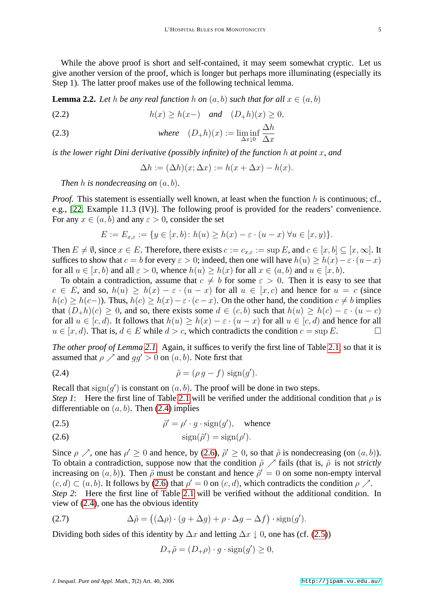While the above proof is short and self-contained, it may seem somewhat cryptic. Let us give another version of the proof, which is longer but perhaps more illuminating (especially its Step 1). The latter proof makes use of the following technical lemma.

<span id="page-4-4"></span>**Lemma 2.2.** Let h be any real function h on  $(a, b)$  such that for all  $x \in (a, b)$ 

(2.2)  $h(x) \ge h(x-)$  *and*  $(D_+h)(x) \ge 0$ ,

(2.3) *where* 
$$
(D_{+}h)(x) := \liminf_{\Delta x \downarrow 0} \frac{\Delta h}{\Delta x}
$$

*is the lower right Dini derivative (possibly infinite) of the function* h *at point* x*, and*

$$
\Delta h := (\Delta h)(x; \Delta x) := h(x + \Delta x) - h(x).
$$

*Then* h *is nondecreasing on* (a, b)*.*

*Proof.* This statement is essentially well known, at least when the function  $h$  is continuous; cf., e.g., [\[22,](#page-18-4) Example 11.3 (IV)]. The following proof is provided for the readers' convenience. For any  $x \in (a, b)$  and any  $\varepsilon > 0$ , consider the set

<span id="page-4-0"></span>
$$
E := E_{x,\varepsilon} := \{ y \in [x,b) \colon h(u) \ge h(x) - \varepsilon \cdot (u - x) \,\forall u \in [x,y) \}.
$$

Then  $E \neq \emptyset$ , since  $x \in E$ . Therefore, there exists  $c := c_{x,\varepsilon} := \sup E$ , and  $c \in [x, b] \subseteq [x, \infty]$ . It suffices to show that  $c = b$  for every  $\varepsilon > 0$ ; indeed, then one will have  $h(u) > h(x) - \varepsilon \cdot (u-x)$ for all  $u \in [x, b)$  and all  $\varepsilon > 0$ , whence  $h(u) > h(x)$  for all  $x \in (a, b)$  and  $u \in [x, b)$ .

To obtain a contradiction, assume that  $c \neq b$  for some  $\varepsilon > 0$ . Then it is easy to see that  $c \in E$ , and so,  $h(u) > h(x) - \varepsilon \cdot (u - x)$  for all  $u \in [x, c)$  and hence for  $u = c$  (since  $h(c) \ge h(c-)$ ). Thus,  $h(c) \ge h(x) - \varepsilon \cdot (c-x)$ . On the other hand, the condition  $c \ne b$  implies that  $(D_{+}h)(c) \ge 0$ , and so, there exists some  $d \in (c, b)$  such that  $h(u) \ge h(c) - \varepsilon \cdot (u - c)$ for all  $u \in [c, d)$ . It follows that  $h(u) \geq h(x) - \varepsilon \cdot (u - x)$  for all  $u \in [c, d)$  and hence for all  $u \in [x, d)$ . That is,  $d \in E$  while  $d > c$ , which contradicts the condition  $c = \sup E$ .

*The other proof of Lemma [2.1.](#page-3-1)* Again, it suffices to verify the first line of Table [2.1,](#page-1-0) so that it is assumed that  $\rho \nearrow$  and  $qq' > 0$  on  $(a, b)$ . Note first that

$$
\tilde{\rho} = (\rho g - f) \text{ sign}(g').
$$

Recall that  $sign(g')$  is constant on  $(a, b)$ . The proof will be done in two steps.

*Step 1*: Here the first line of Table [2.1](#page-1-0) will be verified under the additional condition that  $\rho$  is differentiable on  $(a, b)$ . Then [\(2.4\)](#page-4-0) implies

<span id="page-4-2"></span>(2.5) 
$$
\tilde{\rho}' = \rho' \cdot g \cdot \text{sign}(g'), \text{ whence}
$$

<span id="page-4-1"></span>
$$
\text{(2.6)} \quad \text{sign}(\tilde{\rho}') = \text{sign}(\rho').
$$

Since  $\rho \nearrow$ , one has  $\rho' \geq 0$  and hence, by [\(2.6\)](#page-4-1),  $\tilde{\rho}' \geq 0$ , so that  $\tilde{\rho}$  is nondecreasing (on  $(a, b)$ ). To obtain a contradiction, suppose now that the condition  $\tilde{\rho} \nearrow$  fails (that is,  $\tilde{\rho}$  is not *strictly* increasing on  $(a, b)$ ). Then  $\tilde{\rho}$  must be constant and hence  $\tilde{\rho}' = 0$  on some non-empty interval  $(c, d) \subset (a, b)$ . It follows by [\(2.6\)](#page-4-1) that  $\rho' = 0$  on  $(c, d)$ , which contradicts the condition  $\rho \nearrow$ . *Step 2*: Here the first line of Table [2.1](#page-1-0) will be verified without the additional condition. In view of [\(2.4\)](#page-4-0), one has the obvious identity

(2.7) 
$$
\Delta \tilde{\rho} = ((\Delta \rho) \cdot (g + \Delta g) + \rho \cdot \Delta g - \Delta f) \cdot \text{sign}(g').
$$

Dividing both sides of this identity by  $\Delta x$  and letting  $\Delta x \downarrow 0$ , one has (cf. [\(2.5\)](#page-4-2))

<span id="page-4-3"></span>
$$
D_{+}\tilde{\rho} = (D_{+}\rho) \cdot g \cdot \text{sign}(g') \ge 0,
$$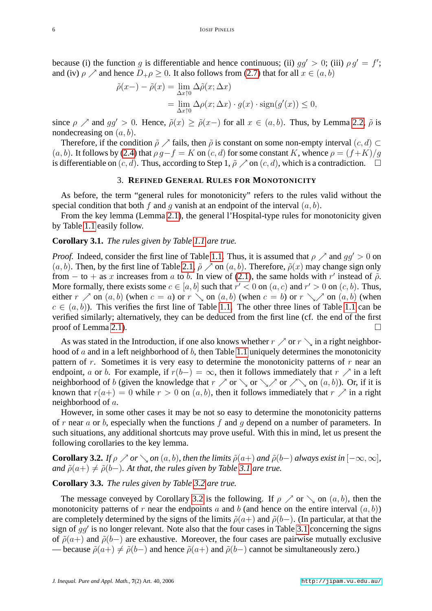because (i) the function g is differentiable and hence continuous; (ii)  $gg' > 0$ ; (iii)  $\rho g' = f'$ ; and (iv)  $\rho \nearrow$  and hence  $D_+ \rho \geq 0$ . It also follows from [\(2.7\)](#page-4-3) that for all  $x \in (a, b)$ 

$$
\tilde{\rho}(x-) - \tilde{\rho}(x) = \lim_{\Delta x \uparrow 0} \Delta \tilde{\rho}(x; \Delta x)
$$
  
= 
$$
\lim_{\Delta x \uparrow 0} \Delta \rho(x; \Delta x) \cdot g(x) \cdot \text{sign}(g'(x)) \le 0,
$$

since  $\rho \nearrow$  and  $gg' > 0$ . Hence,  $\tilde{\rho}(x) \geq \tilde{\rho}(x-)$  for all  $x \in (a, b)$ . Thus, by Lemma [2.2,](#page-4-4)  $\tilde{\rho}$  is nondecreasing on  $(a, b)$ .

Therefore, if the condition  $\tilde{\rho} \nearrow$  fails, then  $\tilde{\rho}$  is constant on some non-empty interval  $(c, d) \subset$  $(a, b)$ . It follows by [\(2.4\)](#page-4-0) that  $\rho g - f = K$  on  $(c, d)$  for some constant K, whence  $\rho = (f + K)/g$ is differentiable on  $(c, d)$ . Thus, according to Step 1,  $\tilde{\rho} \nearrow$  on  $(c, d)$ , which is a contradiction.  $\square$ 

# 3. **REFINED GENERAL RULES FOR MONOTONICITY**

<span id="page-5-0"></span>As before, the term "general rules for monotonicity" refers to the rules valid without the special condition that both f and q vanish at an endpoint of the interval  $(a, b)$ .

From the key lemma (Lemma [2.1\)](#page-3-1), the general l'Hospital-type rules for monotonicity given by Table [1.1](#page-1-0) easily follow.

### <span id="page-5-3"></span>**Corollary 3.1.** *The rules given by Table [1.1](#page-1-0) are true.*

*Proof.* Indeed, consider the first line of Table [1.1.](#page-1-0) Thus, it is assumed that  $\rho \nearrow$  and  $qq' > 0$  on  $(a, b)$ . Then, by the first line of Table [2.1,](#page-1-0)  $\tilde{\rho} \nearrow$  on  $(a, b)$ . Therefore,  $\tilde{\rho}(x)$  may change sign only from – to + as x increases from a to b. In view of [\(2.1\)](#page-3-2), the same holds with r' instead of  $\tilde{\rho}$ . More formally, there exists some  $c \in [a, b]$  such that  $r' < 0$  on  $(a, c)$  and  $r' > 0$  on  $(c, b)$ . Thus, either  $r \nearrow$  on  $(a, b)$  (when  $c = a$ ) or  $r \searrow$  on  $(a, b)$  (when  $c = b$ ) or  $r \searrow$  on  $(a, b)$  (when  $c \in (a, b)$ . This verifies the first line of Table [1.1.](#page-1-0) The other three lines of Table [1.1](#page-1-0) can be verified similarly; alternatively, they can be deduced from the first line (cf. the end of the first proof of Lemma [2.1\)](#page-3-1).

As was stated in the Introduction, if one also knows whether  $r \nearrow$  or  $r \searrow$  in a right neighborhood of  $a$  and in a left neighborhood of  $b$ , then Table [1.1](#page-1-0) uniquely determines the monotonicity pattern of r. Sometimes it is very easy to determine the monotonicity patterns of r near an endpoint, a or b. For example, if  $r(b-) = \infty$ , then it follows immediately that  $r \nearrow$  in a left neighborhood of b (given the knowledge that  $r \nearrow$  or  $\searrow$  or  $\searrow$  or  $\nearrow \searrow$  on  $(a, b)$ ). Or, if it is known that  $r(a+) = 0$  while  $r > 0$  on  $(a, b)$ , then it follows immediately that  $r \nearrow$  in a right neighborhood of a.

However, in some other cases it may be not so easy to determine the monotonicity patterns of r near a or b, especially when the functions f and g depend on a number of parameters. In such situations, any additional shortcuts may prove useful. With this in mind, let us present the following corollaries to the key lemma.

<span id="page-5-1"></span>**Corollary 3.2.** *If*  $\rho \nearrow or \searrow on (a, b)$ *, then the limits*  $\tilde{\rho}(a+)$  *and*  $\tilde{\rho}(b-)$  *always exist in*  $[-\infty, \infty]$ *, and*  $\tilde{\rho}(a+) \neq \tilde{\rho}(b-)$ *. At that, the rules given by Table [3.1](#page-1-0) are true.* 

# <span id="page-5-2"></span>**Corollary 3.3.** *The rules given by Table [3.2](#page-1-1) are true.*

The message conveyed by Corollary [3.2](#page-5-1) is the following. If  $\rho \nearrow$  or  $\setminus$  on  $(a, b)$ , then the monotonicity patterns of r near the endpoints a and b (and hence on the entire interval  $(a, b)$ ) are completely determined by the signs of the limits  $\tilde{\rho}(a+)$  and  $\tilde{\rho}(b-)$ . (In particular, at that the sign of  $gg'$  is no longer relevant. Note also that the four cases in Table [3.1](#page-1-0) concerning the signs of  $\tilde{\rho}(a+)$  and  $\tilde{\rho}(b-)$  are exhaustive. Moreover, the four cases are pairwise mutually exclusive — because  $\tilde{\rho}(a+) \neq \tilde{\rho}(b-)$  and hence  $\tilde{\rho}(a+)$  and  $\tilde{\rho}(b-)$  cannot be simultaneously zero.)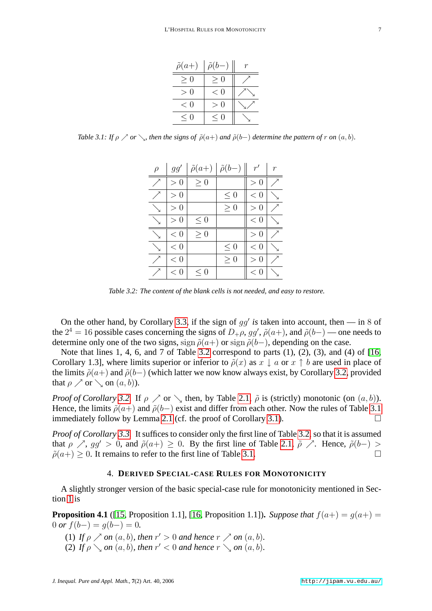| $\tilde{\rho}(a+)$            | $\tilde{\rho}(b-)$ |  |
|-------------------------------|--------------------|--|
| $\geq 0$                      | $\geq 0$           |  |
| - ()<br>$\scriptstyle\diagup$ | < 0                |  |
| < 0                           | $\left( \right)$   |  |
| $\leq 0$                      | < 0                |  |

*Table 3.1: If*  $\rho \nearrow$  *or*  $\searrow$ *, then the signs of*  $\tilde{\rho}(a+)$  *and*  $\tilde{\rho}(b-)$  *determine the pattern of r on*  $(a, b)$ *.* 

| $\rho$ | gg'      | $\tilde{\rho}(a+)   \tilde{\rho}(b-)$ |          | r'                        | r |
|--------|----------|---------------------------------------|----------|---------------------------|---|
|        | > 0      | > 0                                   |          | $\gt$<br>$\left( \right)$ |   |
|        | > 0      |                                       | < 0      | < 0                       |   |
|        | $\geq 0$ |                                       | $\geq 0$ | ()<br>$\gt$               |   |
|        | $\gt$ () | < 0                                   |          | < 0                       |   |
|        | < 0      | > 0                                   |          | $\Omega$<br>$\mathbf{L}$  |   |
|        | < 0      |                                       | < 0      | < 0                       |   |
|        | < 0      |                                       | > 0      | $\gt$<br>$\theta$         |   |
|        | < 0      | < 0                                   |          | $\,<\,$<br>$\cup$         |   |

*Table 3.2: The content of the blank cells is not needed, and easy to restore.*

On the other hand, by Corollary [3.3,](#page-5-2) if the sign of  $gg'$  is taken into account, then — in 8 of the  $2^4 = 16$  possible cases concerning the signs of  $D_+\rho$ ,  $gg'$ ,  $\tilde{\rho}(a+)$ , and  $\tilde{\rho}(b-)$  — one needs to determine only one of the two signs, sign  $\tilde{\rho}(a+)$  or sign  $\tilde{\rho}(b-)$ , depending on the case.

Note that lines 1, 4, 6, and 7 of Table [3.2](#page-1-1) correspond to parts (1), (2), (3), and (4) of [\[16,](#page-17-0) Corollary 1.3], where limits superior or inferior to  $\tilde{\rho}(x)$  as  $x \perp a$  or  $x \uparrow b$  are used in place of the limits  $\tilde{\rho}(a+)$  and  $\tilde{\rho}(b-)$  (which latter we now know always exist, by Corollary [3.2,](#page-5-1) provided that  $\rho \nearrow$  or  $\searrow$  on  $(a, b)$ ).

*Proof of Corollary* [3.2.](#page-5-1) If  $\rho \nearrow$  or  $\setminus$  then, by Table [2.1,](#page-1-0)  $\tilde{\rho}$  is (strictly) monotonic (on  $(a, b)$ ). Hence, the limits  $\tilde{\rho}(a+)$  and  $\tilde{\rho}(b-)$  exist and differ from each other. Now the rules of Table [3.1](#page-1-0) immediately follow by Lemma [2.1](#page-3-1) (cf. the proof of Corollary [3.1\)](#page-5-3).  $\Box$ 

*Proof of Corollary [3.3.](#page-5-2)* It suffices to consider only the first line of Table [3.2,](#page-1-1) so that it is assumed that  $\rho \nearrow$ ,  $gg' > 0$ , and  $\tilde{\rho}(a+) \geq 0$ . By the first line of Table [2.1,](#page-1-0)  $\tilde{\rho} \nearrow$ . Hence,  $\tilde{\rho}(b-) > 0$  $\tilde{\rho}(a+) > 0$ . It remains to refer to the first line of Table [3.1.](#page-1-0)

# 4. **DERIVED SPECIAL-CASE RULES FOR MONOTONICITY**

<span id="page-6-0"></span>A slightly stronger version of the basic special-case rule for monotonicity mentioned in Section [1](#page-0-0) is

<span id="page-6-1"></span>**Proposition 4.1** ([\[15,](#page-17-10) Proposition 1.1], [\[16,](#page-17-0) Proposition 1.1]). *Suppose that*  $f(a+) = g(a+) =$  $0$  *or*  $f(b-) = g(b-) = 0$ .

- (1) *If*  $\rho \nearrow$  *on*  $(a, b)$ *, then*  $r' > 0$  *and hence*  $r \nearrow$  *on*  $(a, b)$ *.*
- (2) *If*  $\rho \searrow$  *on*  $(a, b)$ *, then*  $r' < 0$  *and hence*  $r \searrow$  *on*  $(a, b)$ *.*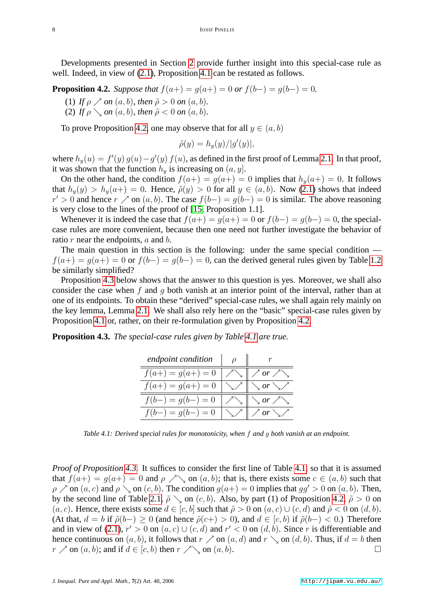Developments presented in Section [2](#page-3-0) provide further insight into this special-case rule as well. Indeed, in view of  $(2.1)$ , Proposition [4.1](#page-6-1) can be restated as follows.

<span id="page-7-1"></span>**Proposition 4.2.** *Suppose that*  $f(a+) = g(a+) = 0$  *or*  $f(b-) = g(b-) = 0$ *.* 

(1) *If*  $\rho \nearrow$  *on*  $(a, b)$ *, then*  $\tilde{\rho} > 0$  *on*  $(a, b)$ *.* 

(2) *If*  $\rho \setminus on(a, b)$ *, then*  $\tilde{\rho} < 0$  *on*  $(a, b)$ *.* 

To prove Proposition [4.2,](#page-7-1) one may observe that for all  $y \in (a, b)$ 

$$
\tilde{\rho}(y) = h_y(y)/|g'(y)|,
$$

where  $h_y(u) = f'(y) g(u) - g'(y) f(u)$ , as defined in the first proof of Lemma [2.1.](#page-3-1) In that proof, it was shown that the function  $h_y$  is increasing on  $(a, y]$ .

On the other hand, the condition  $f(a+) = g(a+) = 0$  implies that  $h_y(a+) = 0$ . It follows that  $h_y(y) > h_y(a+) = 0$ . Hence,  $\tilde{\rho}(y) > 0$  for all  $y \in (a, b)$ . Now [\(2.1\)](#page-3-2) shows that indeed  $r' > 0$  and hence  $r \nearrow$  on  $(a, b)$ . The case  $f(b-) = g(b-) = 0$  is similar. The above reasoning is very close to the lines of the proof of [\[15,](#page-17-10) Proposition 1.1].

Whenever it is indeed the case that  $f(a+) = g(a+) = 0$  or  $f(b-) = g(b-) = 0$ , the specialcase rules are more convenient, because then one need not further investigate the behavior of ratio  $r$  near the endpoints,  $a$  and  $b$ .

The main question in this section is the following: under the same special condition  $f(a+) = g(a+) = 0$  or  $f(b-) = g(b-) = 0$ , can the derived general rules given by Table [1.2](#page-1-1) be similarly simplified?

Proposition [4.3](#page-7-0) below shows that the answer to this question is yes. Moreover, we shall also consider the case when f and q both vanish at an interior point of the interval, rather than at one of its endpoints. To obtain these "derived" special-case rules, we shall again rely mainly on the key lemma, Lemma [2.1.](#page-3-1) We shall also rely here on the "basic" special-case rules given by Proposition [4.1](#page-6-1) or, rather, on their re-formulation given by Proposition [4.2.](#page-7-1)

<span id="page-7-0"></span>**Proposition 4.3.** *The special-case rules given by Table [4.1](#page-1-0) are true.*

| endpoint condition  |                        |
|---------------------|------------------------|
| $f(a+) = g(a+) = 0$ |                        |
| $f(a+) = g(a+) = 0$ | $or \searrow \nearrow$ |
| $f(b-) = q(b-) = 0$ | or $\nearrow$          |
| $f(b-) = q(b-) = 0$ | or $\setminus$ /       |

*Table 4.1: Derived special rules for monotonicity, when* f *and* g *both vanish at an endpoint.*

*Proof of Proposition [4.3.](#page-7-0)* It suffices to consider the first line of Table [4.1,](#page-1-0) so that it is assumed that  $f(a+) = g(a+) = 0$  and  $\rho \nearrow \searrow$  on  $(a, b)$ ; that is, there exists some  $c \in (a, b)$  such that  $\rho \nearrow$  on  $(a, c)$  and  $\rho \searrow$  on  $(c, b)$ . The condition  $g(a+) = 0$  implies that  $gg' > 0$  on  $(a, b)$ . Then, by the second line of Table [2.1,](#page-1-0)  $\tilde{\rho} \setminus$  on  $(c, b)$ . Also, by part (1) of Proposition [4.2,](#page-7-1)  $\tilde{\rho} > 0$  on  $(a, c)$ . Hence, there exists some  $d \in [c, b]$  such that  $\tilde{\rho} > 0$  on  $(a, c) \cup (c, d)$  and  $\tilde{\rho} < 0$  on  $(d, b)$ . (At that,  $d = b$  if  $\tilde{\rho}(b-) \ge 0$  (and hence  $\tilde{\rho}(c+) > 0$ ), and  $d \in [c, b)$  if  $\tilde{\rho}(b-) < 0$ .) Therefore and in view of [\(2.1\)](#page-3-2),  $r' > 0$  on  $(a, c) \cup (c, d)$  and  $r' < 0$  on  $(d, b)$ . Since r is differentiable and hence continuous on  $(a, b)$ , it follows that  $r \nearrow$  on  $(a, d)$  and  $r \searrow$  on  $(d, b)$ . Thus, if  $d = b$  then  $r \nearrow$  on  $(a, b)$ ; and if  $d \in [c, b)$  then  $r \nearrow \searrow$  on  $(a, b)$ .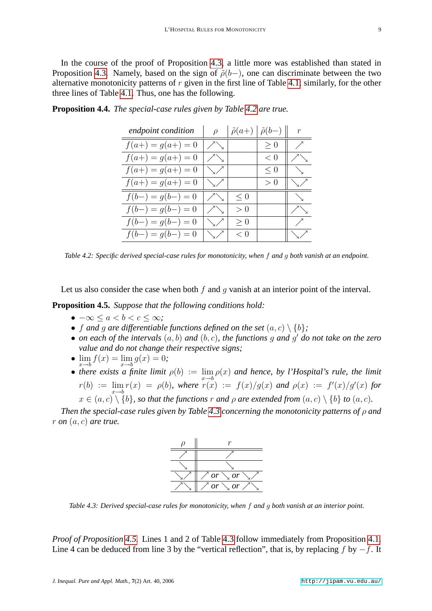In the course of the proof of Proposition [4.3,](#page-7-0) a little more was established than stated in Proposition [4.3.](#page-7-0) Namely, based on the sign of  $\tilde{\rho}(b-)$ , one can discriminate between the two alternative monotonicity patterns of  $r$  given in the first line of Table [4.1;](#page-1-0) similarly, for the other three lines of Table [4.1.](#page-1-0) Thus, one has the following.

| endpoint condition  | $\rho$             |     | $\tilde{\rho}(a+) \mid \tilde{\rho}(b-) \parallel$ | $\mathcal{r}$      |
|---------------------|--------------------|-----|----------------------------------------------------|--------------------|
| $f(a+) = g(a+) = 0$ | $\diagup$          |     | $\geq 0$                                           | ╱                  |
| $f(a+) = g(a+) = 0$ | $\diagup$          |     | < 0                                                | $\diagup$          |
| $f(a+) = g(a+) = 0$ | $\searrow$         |     | $\leq 0$                                           | ╲                  |
| $f(a+) = g(a+) = 0$ | $\searrow$ /       |     | > 0                                                | $\searrow$ /       |
| $f(b-) = g(b-) = 0$ | $\nearrow$         | < 0 |                                                    | $\searrow$         |
| $f(b-) = g(b-) = 0$ | $\diagup\diagdown$ | > 0 |                                                    | $\diagup\diagdown$ |
| $f(b-) = g(b-) = 0$ | $\searrow$ /       | > 0 |                                                    | $\bigg)$           |
| $f(b-) = g(b-) = 0$ | \/                 | < 0 |                                                    | \!!                |

<span id="page-8-0"></span>**Proposition 4.4.** *The special-case rules given by Table [4.2](#page-1-1) are true.*

*Table 4.2: Specific derived special-case rules for monotonicity, when* f *and* g *both vanish at an endpoint.*

Let us also consider the case when both  $f$  and  $q$  vanish at an interior point of the interval.

<span id="page-8-1"></span>**Proposition 4.5.** *Suppose that the following conditions hold:*

- $\bullet$   $-\infty$  <  $a < b < c < \infty$ ;
- f and q are differentiable functions defined on the set  $(a, c) \setminus \{b\}$ ;
- *on each of the intervals*  $(a, b)$  *and*  $(b, c)$ *, the functions* g *and* g' *do not take on the zero value and do not change their respective signs;*
- $\lim_{x \to b} f(x) = \lim_{x \to b} g(x) = 0;$
- there exists a finite limit  $\rho(b) := \lim_{x \to b} \rho(x)$  and hence, by l'Hospital's rule, the limit  $r(b) := \lim_{x \to b} r(x) = \rho(b)$ , where  $r(x) := f(x)/g(x)$  and  $\rho(x) := f'(x)/g'(x)$  for  $x \in (a, c) \setminus \{b\}$ , so that the functions r and  $\rho$  are extended from  $(a, c) \setminus \{b\}$  to  $(a, c)$ .

*Then the special-case rules given by Table [4.3](#page-8-2) concerning the monotonicity patterns of* ρ *and*  $r$  *on*  $(a, c)$  *are true.* 



<span id="page-8-2"></span>*Table 4.3: Derived special-case rules for monotonicity, when* f *and* g *both vanish at an interior point.*

*Proof of Proposition [4.5.](#page-8-1)* Lines 1 and 2 of Table [4.3](#page-8-2) follow immediately from Proposition [4.1.](#page-6-1) Line 4 can be deduced from line 3 by the "vertical reflection", that is, by replacing f by  $-f$ . It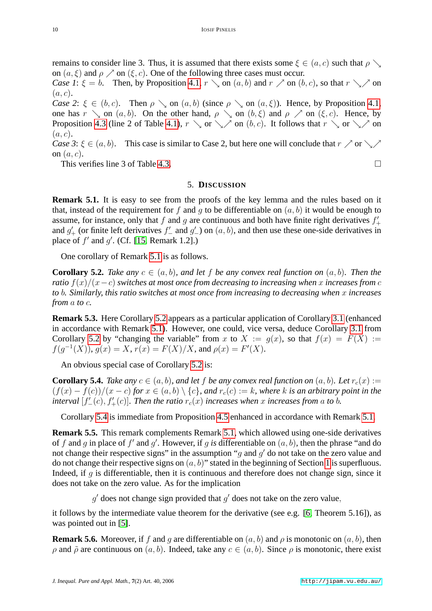remains to consider line 3. Thus, it is assumed that there exists some  $\xi \in (a, c)$  such that  $\rho \setminus a$ on  $(a, \xi)$  and  $\rho \nearrow$  on  $(\xi, c)$ . One of the following three cases must occur.

*Case 1*:  $\xi = b$ . Then, by Proposition [4.1,](#page-6-1)  $r \searrow$  on  $(a, b)$  and  $r \nearrow$  on  $(b, c)$ , so that  $r \searrow$  on  $(a, c)$ .

*Case 2*:  $\xi \in (b, c)$ . Then  $\rho \searrow$  on  $(a, b)$  (since  $\rho \searrow$  on  $(a, \xi)$ ). Hence, by Proposition [4.1,](#page-6-1) one has  $r \searrow$  on  $(a, b)$ . On the other hand,  $\rho \searrow$  on  $(b, \xi)$  and  $\rho \nearrow$  on  $(\xi, c)$ . Hence, by Proposition [4.3](#page-7-0) (line 2 of Table [4.1\)](#page-1-0),  $r \searrow$  or  $\searrow$  on (b, c). It follows that  $r \searrow$  or  $\searrow$  on  $(a, c)$ .

*Case 3*:  $\xi \in (a, b)$ . This case is similar to Case 2, but here one will conclude that  $r \nearrow$  or  $\searrow$ on  $(a, c)$ .

This verifies line 3 of Table [4.3.](#page-8-2)

#### 5. **DISCUSSION**

<span id="page-9-1"></span><span id="page-9-0"></span>**Remark 5.1.** It is easy to see from the proofs of the key lemma and the rules based on it that, instead of the requirement for f and q to be differentiable on  $(a, b)$  it would be enough to assume, for instance, only that f and g are continuous and both have finite right derivatives  $f'_{+}$ and  $g'_{+}$  (or finite left derivatives  $f'_{-}$  and  $g'_{-}$ ) on  $(a, b)$ , and then use these one-side derivatives in place of  $f'$  and  $g'$ . (Cf. [\[15,](#page-17-10) Remark 1.2].)

One corollary of Remark [5.1](#page-9-1) is as follows.

<span id="page-9-2"></span>**Corollary 5.2.** *Take any*  $c \in (a, b)$ *, and let* f *be any convex real function on*  $(a, b)$ *. Then the ratio* f(x)/(x−c) *switches at most once from decreasing to increasing when* x *increases from* c *to* b*. Similarly, this ratio switches at most once from increasing to decreasing when* x *increases from* a *to* c*.*

**Remark 5.3.** Here Corollary [5.2](#page-9-2) appears as a particular application of Corollary [3.1](#page-5-3) (enhanced in accordance with Remark [5.1\)](#page-9-1). However, one could, vice versa, deduce Corollary [3.1](#page-5-3) from Corollary [5.2](#page-9-2) by "changing the variable" from x to  $X := q(x)$ , so that  $f(x) = F(X) :=$  $f(g^{-1}(X)), g(x) = X, r(x) = F(X)/X$ , and  $\rho(x) = F'(X)$ .

An obvious special case of Corollary [5.2](#page-9-2) is:

<span id="page-9-3"></span>**Corollary 5.4.** *Take any*  $c \in (a, b)$ *, and let f be any convex real function on*  $(a, b)$ *. Let*  $r_c(x) :=$  $(f(x) - f(c))/(x - c)$  *for*  $x \in (a, b) \setminus \{c\}$ *, and*  $r_c(c) := k$ *, where* k is an arbitrary point in the *interval*  $[f'_{-}(c), f'_{+}(c)]$ . Then the ratio  $r_c(x)$  increases when x increases from a to b.

Corollary [5.4](#page-9-3) is immediate from Proposition [4.5](#page-8-1) enhanced in accordance with Remark [5.1.](#page-9-1)

**Remark 5.5.** This remark complements Remark [5.1,](#page-9-1) which allowed using one-side derivatives of f and g in place of f' and g'. However, if g is differentiable on  $(a, b)$ , then the phrase "and do not change their respective signs" in the assumption "g and  $g'$  do not take on the zero value and do not change their respective signs on  $(a, b)$ " stated in the beginning of Section [1](#page-0-0) is superfluous. Indeed, if  $q$  is differentiable, then it is continuous and therefore does not change sign, since it does not take on the zero value. As for the implication

 $g'$  does not change sign provided that  $g'$  does not take on the zero value,

it follows by the intermediate value theorem for the derivative (see e.g. [\[6,](#page-17-12) Theorem 5.16]), as was pointed out in [\[5\]](#page-17-9).

**Remark 5.6.** Moreover, if f and g are differentiable on  $(a, b)$  and  $\rho$  is monotonic on  $(a, b)$ , then  $ρ$  and  $ρ$  are continuous on  $(a, b)$ . Indeed, take any  $c ∈ (a, b)$ . Since  $ρ$  is monotonic, there exist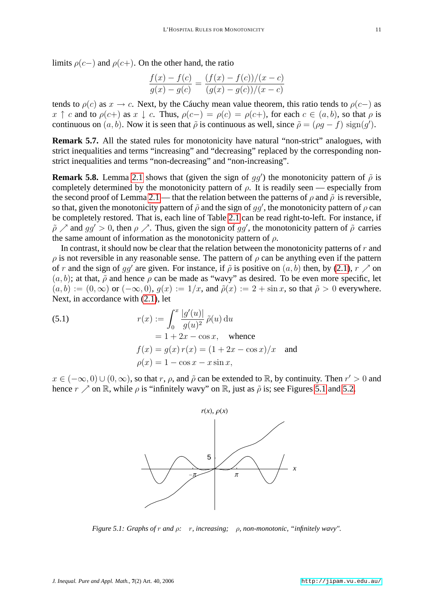limits  $\rho(c-)$  and  $\rho(c+)$ . On the other hand, the ratio

$$
\frac{f(x) - f(c)}{g(x) - g(c)} = \frac{(f(x) - f(c))/(x - c)}{(g(x) - g(c))/(x - c)}
$$

tends to  $\rho(c)$  as  $x \to c$ . Next, by the Cáuchy mean value theorem, this ratio tends to  $\rho(c-)$  as  $x \uparrow c$  and to  $\rho(c+)$  as  $x \downarrow c$ . Thus,  $\rho(c-) = \rho(c) = \rho(c+1)$ , for each  $c \in (a, b)$ , so that  $\rho$  is continuous on  $(a, b)$ . Now it is seen that  $\tilde{\rho}$  is continuous as well, since  $\tilde{\rho} = (\rho g - f)$  sign $(g')$ .

**Remark 5.7.** All the stated rules for monotonicity have natural "non-strict" analogues, with strict inequalities and terms "increasing" and "decreasing" replaced by the corresponding nonstrict inequalities and terms "non-decreasing" and "non-increasing".

**Remark 5.8.** Lemma [2.1](#page-3-1) shows that (given the sign of  $gg'$ ) the monotonicity pattern of  $\tilde{\rho}$  is completely determined by the monotonicity pattern of  $\rho$ . It is readily seen — especially from the second proof of Lemma [2.1](#page-3-1) — that the relation between the patterns of  $\rho$  and  $\tilde{\rho}$  is reversible, so that, given the monotonicity pattern of  $\tilde{\rho}$  and the sign of gg', the monotonicity pattern of  $\rho$  can be completely restored. That is, each line of Table [2.1](#page-1-0) can be read right-to-left. For instance, if  $\tilde{\rho}$   $\nearrow$  and  $gg' > 0$ , then  $\rho$   $\nearrow$ . Thus, given the sign of gg', the monotonicity pattern of  $\tilde{\rho}$  carries the same amount of information as the monotonicity pattern of  $\rho$ .

In contrast, it should now be clear that the relation between the monotonicity patterns of  $r$  and  $\rho$  is not reversible in any reasonable sense. The pattern of  $\rho$  can be anything even if the pattern of r and the sign of gg' are given. For instance, if  $\tilde{\rho}$  is positive on  $(a, b)$  then, by [\(2.1\)](#page-3-2),  $r \nearrow$  on  $(a, b)$ ; at that,  $\tilde{\rho}$  and hence  $\rho$  can be made as "wavy" as desired. To be even more specific, let  $(a, b) := (0, \infty)$  or  $(-\infty, 0)$ ,  $g(x) := 1/x$ , and  $\tilde{\rho}(x) := 2 + \sin x$ , so that  $\tilde{\rho} > 0$  everywhere. Next, in accordance with [\(2.1\)](#page-3-2), let

<span id="page-10-1"></span>(5.1) 
$$
r(x) := \int_0^x \frac{|g'(u)|}{g(u)^2} \tilde{\rho}(u) du
$$

$$
= 1 + 2x - \cos x, \text{ whence}
$$

$$
f(x) = g(x) r(x) = (1 + 2x - \cos x)/x \text{ and}
$$

$$
\rho(x) = 1 - \cos x - x \sin x,
$$

 $x \in (-\infty, 0) \cup (0, \infty)$ , so that r,  $\rho$ , and  $\tilde{\rho}$  can be extended to  $\mathbb{R}$ , by continuity. Then  $r' > 0$  and hence  $r \nearrow$  on R, while  $\rho$  is "infinitely wavy" on R, just as  $\tilde{\rho}$  is; see Figures [5.1](#page-10-0) and [5.2.](#page-11-0)



<span id="page-10-2"></span><span id="page-10-0"></span>*Figure 5.1: Graphs of* r *and* ρ*:* r*, increasing;* ρ*, non-monotonic, "infinitely wavy".*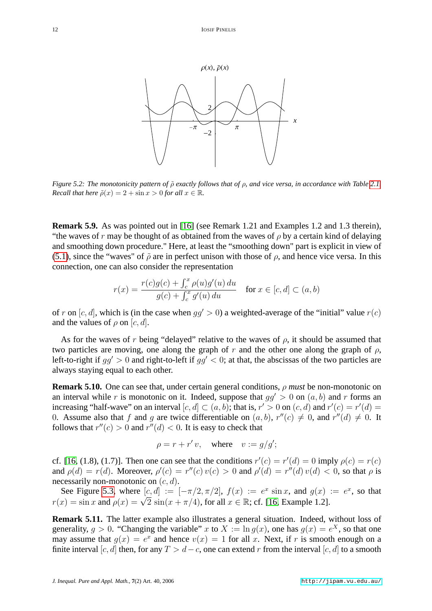

<span id="page-11-0"></span>*Figure 5.2: The monotonicity pattern of*  $\tilde{\rho}$  *exactly follows that of*  $\rho$ *, and vice versa, in accordance with Table [2.1.](#page-1-0) Recall that here*  $\tilde{\rho}(x) = 2 + \sin x > 0$  *for all*  $x \in \mathbb{R}$ *.* 

**Remark 5.9.** As was pointed out in [\[16\]](#page-17-0) (see Remark 1.21 and Examples 1.2 and 1.3 therein), "the waves of r may be thought of as obtained from the waves of  $\rho$  by a certain kind of delaying and smoothing down procedure." Here, at least the "smoothing down" part is explicit in view of [\(5.1\)](#page-10-1), since the "waves" of  $\tilde{\rho}$  are in perfect unison with those of  $\rho$ , and hence vice versa. In this connection, one can also consider the representation

$$
r(x) = \frac{r(c)g(c) + \int_c^x \rho(u)g'(u) du}{g(c) + \int_c^x g'(u) du} \quad \text{for } x \in [c, d] \subset (a, b)
$$

of r on [c, d], which is (in the case when  $qq' > 0$ ) a weighted-average of the "initial" value  $r(c)$ and the values of  $\rho$  on  $[c, d]$ .

As for the waves of r being "delayed" relative to the waves of  $\rho$ , it should be assumed that two particles are moving, one along the graph of r and the other one along the graph of  $\rho$ , left-to-right if  $qq' > 0$  and right-to-left if  $qq' < 0$ ; at that, the abscissas of the two particles are always staying equal to each other.

**Remark 5.10.** One can see that, under certain general conditions, ρ *must* be non-monotonic on an interval while r is monotonic on it. Indeed, suppose that  $qq' > 0$  on  $(a, b)$  and r forms an increasing "half-wave" on an interval  $[c, d] \subset (a, b)$ ; that is,  $r' > 0$  on  $(c, d)$  and  $r'(c) = r'(d)$ 0. Assume also that f and g are twice differentiable on  $(a, b)$ ,  $r''(c) \neq 0$ , and  $r''(d) \neq 0$ . It follows that  $r''(c) > 0$  and  $r''(d) < 0$ . It is easy to check that

$$
\rho = r + r' v, \quad \text{where} \quad v := g/g';
$$

cf. [\[16,](#page-17-0) (1.8), (1.7)]. Then one can see that the conditions  $r'(c) = r'(d) = 0$  imply  $\rho(c) = r(c)$ and  $\rho(d) = r(d)$ . Moreover,  $\rho'(c) = r''(c) v(c) > 0$  and  $\rho'(d) = r''(d) v(d) < 0$ , so that  $\rho$  is necessarily non-monotonic on  $(c, d)$ .

See Figure [5.3,](#page-12-1) where  $[c, d] := [-\pi/2, \pi/2], f(x) := e^x \sin x$ , and  $g(x) := e^x$ , so that See Figure 5.5, where  $[c, a] := [-\pi/2, \pi/2]$ ,  $f(x) := e^x \sin x$ , and  $g(x)$ <br>  $r(x) = \sin x$  and  $\rho(x) = \sqrt{2} \sin(x + \pi/4)$ , for all  $x \in \mathbb{R}$ ; cf. [\[16,](#page-17-0) Example 1.2].

**Remark 5.11.** The latter example also illustrates a general situation. Indeed, without loss of generality,  $g > 0$ . "Changing the variable" x to  $X := \ln g(x)$ , one has  $g(x) = e^X$ , so that one may assume that  $g(x) = e^x$  and hence  $v(x) = 1$  for all x. Next, if r is smooth enough on a finite interval [c, d] then, for any  $T > d - c$ , one can extend r from the interval [c, d] to a smooth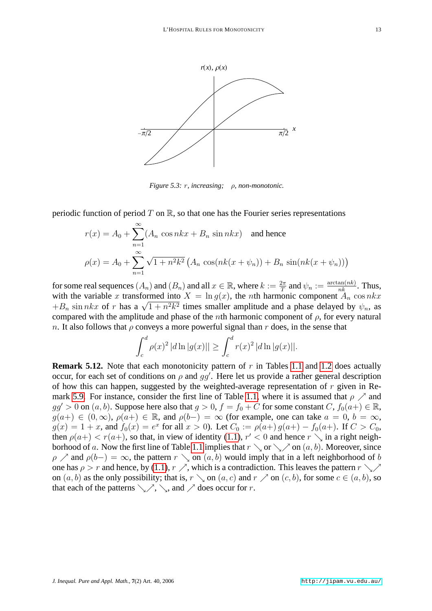

<span id="page-12-1"></span>*Figure 5.3: r, increasing; ρ, non-monotonic.* 

periodic function of period T on R, so that one has the Fourier series representations

$$
r(x) = A_0 + \sum_{n=1}^{\infty} (A_n \cos nx + B_n \sin nx)
$$
 and hence  

$$
\rho(x) = A_0 + \sum_{n=1}^{\infty} \sqrt{1 + n^2 k^2} (A_n \cos(nk(x + \psi_n)) + B_n \sin(nk(x + \psi_n)))
$$

for some real sequences  $(A_n)$  and  $(B_n)$  and all  $x \in \mathbb{R}$ , where  $k := \frac{2\pi}{T}$  and  $\psi_n := \frac{\arctan(nk)}{nk}$ . Thus, with the variable x transformed into  $X = \ln g(x)$ , the nth harmonic component  $A_n \cos nx$ with the variable x transformed into  $X = \ln g(x)$ , the *n*th narmonic component  $A_n \cos nx + B_n \sin nx$  of r has a  $\sqrt{1 + n^2 k^2}$  times smaller amplitude and a phase delayed by  $\psi_n$ , as compared with the amplitude and phase of the *n*th harmonic component of  $\rho$ , for every natural n. It also follows that  $\rho$  conveys a more powerful signal than r does, in the sense that

$$
\int_{c}^{d} \rho(x)^{2} |d \ln |g(x)|| \geq \int_{c}^{d} r(x)^{2} |d \ln |g(x)||.
$$

<span id="page-12-0"></span>**Remark 5.12.** Note that each monotonicity pattern of r in Tables [1.1](#page-1-0) and [1.2](#page-1-1) does actually occur, for each set of conditions on  $\rho$  and  $gg'$ . Here let us provide a rather general description of how this can happen, suggested by the weighted-average representation of  $r$  given in Re-mark [5.9.](#page-10-2) For instance, consider the first line of Table [1.1,](#page-1-0) where it is assumed that  $\rho \nearrow$  and  $gg' > 0$  on  $(a, b)$ . Suppose here also that  $g > 0$ ,  $f = f_0 + C$  for some constant  $C, f_0(a+) \in \mathbb{R}$ ,  $g(a+) \in (0,\infty)$ ,  $\rho(a+) \in \mathbb{R}$ , and  $\rho(b-) = \infty$  (for example, one can take  $a = 0$ ,  $b = \infty$ ,  $g(x) = 1 + x$ , and  $f_0(x) = e^x$  for all  $x > 0$ ). Let  $C_0 := \rho(a+) g(a+) - f_0(a+)$ . If  $C > C_0$ , then  $\rho(a+) < r(a+)$ , so that, in view of identity [\(1.1\)](#page-1-2),  $r' < 0$  and hence  $r \searrow$  in a right neigh-borhood of a. Now the first line of Table [1.1](#page-1-0) implies that  $r \searrow$  or  $\searrow$  on  $(a, b)$ . Moreover, since  $\rho \nearrow$  and  $\rho(b-) = \infty$ , the pattern  $r \searrow$  on  $(a, b)$  would imply that in a left neighborhood of b one has  $\rho > r$  and hence, by [\(1.1\)](#page-1-2),  $r \nearrow$ , which is a contradiction. This leaves the pattern  $r \searrow$ on  $(a, b)$  as the only possibility; that is,  $r \setminus$  on  $(a, c)$  and  $r \nearrow$  on  $(c, b)$ , for some  $c \in (a, b)$ , so that each of the patterns  $\setminus \nearrow$ ,  $\setminus$ , and  $\nearrow$  does occur for r.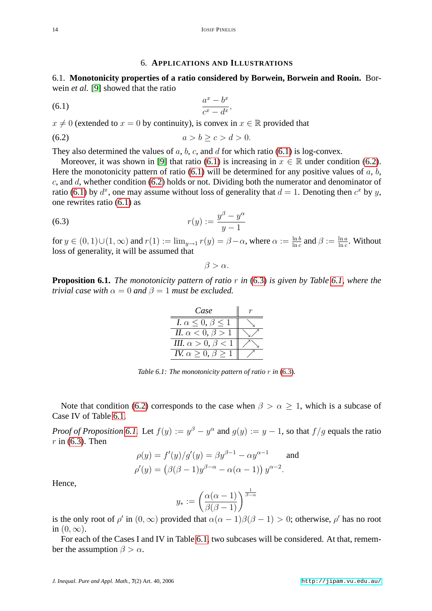## <span id="page-13-2"></span><span id="page-13-1"></span>6. **APPLICATIONS AND ILLUSTRATIONS**

<span id="page-13-0"></span>6.1. **Monotonicity properties of a ratio considered by Borwein, Borwein and Rooin.** Borwein *et al.* [\[9\]](#page-17-13) showed that the ratio

$$
(6.1) \qquad \qquad \frac{a^x - b^x}{c^x - d^x},
$$

 $x \neq 0$  (extended to  $x = 0$  by continuity), is convex in  $x \in \mathbb{R}$  provided that

$$
(6.2) \qquad \qquad a > b \geq c > d > 0.
$$

They also determined the values of  $a, b, c$ , and  $d$  for which ratio [\(6.1\)](#page-13-1) is log-convex.

Moreover, it was shown in [\[9\]](#page-17-13) that ratio [\(6.1\)](#page-13-1) is increasing in  $x \in \mathbb{R}$  under condition [\(6.2\)](#page-13-2). Here the monotonicity pattern of ratio  $(6.1)$  will be determined for any positive values of a, b, c, and d, whether condition  $(6.2)$  holds or not. Dividing both the numerator and denominator of ratio [\(6.1\)](#page-13-1) by  $d^x$ , one may assume without loss of generality that  $d = 1$ . Denoting then  $c^x$  by y, one rewrites ratio [\(6.1\)](#page-13-1) as

(6.3) 
$$
r(y) := \frac{y^{\beta} - y^{\alpha}}{y - 1}
$$

for  $y \in (0, 1) \cup (1, \infty)$  and  $r(1) := \lim_{y \to 1} r(y) = \beta - \alpha$ , where  $\alpha := \frac{\ln b}{\ln c}$  and  $\beta := \frac{\ln a}{\ln c}$ . Without loss of generality, it will be assumed that

<span id="page-13-3"></span>
$$
\beta > \alpha.
$$

<span id="page-13-4"></span>**Proposition 6.1.** *The monotonicity pattern of ratio* r *in* [\(6.3\)](#page-13-3) *is given by Table [6.1,](#page-1-0) where the trivial case with*  $\alpha = 0$  *and*  $\beta = 1$  *must be excluded.* 

| Case                             |  |
|----------------------------------|--|
| I. $\alpha \leq 0, \beta \leq 1$ |  |
| II. $\alpha < 0, \beta > 1$      |  |
| III. $\alpha > 0$ , $\beta < 1$  |  |
| IV. $\alpha > 0$ , $\beta >$     |  |

*Table 6.1: The monotonicity pattern of ratio*  $r$  *in* [\(6.3\)](#page-13-3).

Note that condition [\(6.2\)](#page-13-2) corresponds to the case when  $\beta > \alpha \geq 1$ , which is a subcase of Case IV of Table [6.1.](#page-1-0)

*Proof of Proposition* [6.1.](#page-13-4) Let  $f(y) := y^{\beta} - y^{\alpha}$  and  $g(y) := y - 1$ , so that  $f/g$  equals the ratio  $r$  in [\(6.3\)](#page-13-3). Then

$$
\rho(y) = f'(y)/g'(y) = \beta y^{\beta - 1} - \alpha y^{\alpha - 1} \quad \text{and}
$$

$$
\rho'(y) = (\beta(\beta - 1)y^{\beta - \alpha} - \alpha(\alpha - 1)) y^{\alpha - 2}.
$$

Hence,

$$
y_*:=\left(\frac{\alpha(\alpha-1)}{\beta(\beta-1)}\right)^{\frac{1}{\beta-\alpha}}
$$

is the only root of  $\rho'$  in  $(0, \infty)$  provided that  $\alpha(\alpha - 1)\beta(\beta - 1) > 0$ ; otherwise,  $\rho'$  has no root in  $(0, \infty)$ .

For each of the Cases I and IV in Table [6.1,](#page-1-0) two subcases will be considered. At that, remember the assumption  $\beta > \alpha$ .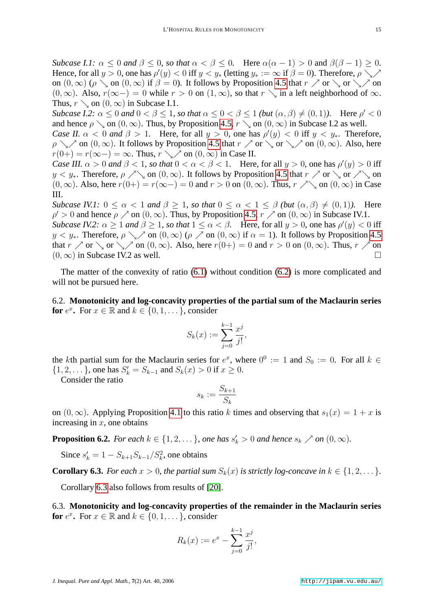*Subcase I.1:*  $\alpha \leq 0$  *and*  $\beta \leq 0$ *, so that*  $\alpha < \beta \leq 0$ *.* Here  $\alpha(\alpha - 1) > 0$  and  $\beta(\beta - 1) \geq 0$ *.* Hence, for all  $y > 0$ , one has  $\rho'(y) < 0$  iff  $y < y_*$  (letting  $y_* := \infty$  if  $\beta = 0$ ). Therefore,  $\rho \searrow$ on  $(0, \infty)$  ( $\rho \setminus$  on  $(0, \infty)$  if  $\beta = 0$ ). It follows by Proposition [4.5](#page-8-1) that  $r \nearrow$  or  $\setminus$  or  $\setminus$  on  $(0, \infty)$ . Also,  $r(\infty-) = 0$  while  $r > 0$  on  $(1, \infty)$ , so that  $r \setminus \infty$  in a left neighborhood of  $\infty$ . Thus,  $r \searrow$  on  $(0, \infty)$  in Subcase I.1.

*Subcase I.2:*  $\alpha \leq 0$  *and*  $0 < \beta \leq 1$ *, so that*  $\alpha \leq 0 < \beta \leq 1$  *(but*  $(\alpha, \beta) \neq (0, 1)$ *).* Here  $\rho' < 0$ and hence  $\rho \setminus$  on  $(0, \infty)$ . Thus, by Proposition [4.5,](#page-8-1)  $r \setminus$  on  $(0, \infty)$  in Subcase I.2 as well.

*Case II.*  $\alpha < 0$  *and*  $\beta > 1$ . Here, for all  $y > 0$ , one has  $\rho'(y) < 0$  iff  $y < y_*$ . Therefore,  $\rho \setminus \mathcal{P}$  on  $(0,\infty)$ . It follows by Proposition [4.5](#page-8-1) that  $r \nearrow$  or  $\setminus$  or  $\setminus \mathcal{P}$  on  $(0,\infty)$ . Also, here  $r(0+) = r(\infty-) = \infty$ . Thus,  $r \searrow \infty$  on  $(0, \infty)$  in Case II.

*Case III.*  $\alpha > 0$  *and*  $\beta < 1$ *, so that*  $0 < \alpha < \beta < 1$ . Here, for all  $y > 0$ *, one has*  $\rho'(y) > 0$  iff  $y < y_*$ . Therefore,  $\rho \nearrow \setminus$  on  $(0, \infty)$ . It follows by Proposition [4.5](#page-8-1) that  $r \nearrow$  or  $\setminus$  or  $\nearrow \setminus$  on  $(0, \infty)$ . Also, here  $r(0+) = r(\infty-) = 0$  and  $r > 0$  on  $(0, \infty)$ . Thus,  $r \nearrow \searrow$  on  $(0, \infty)$  in Case III.

*Subcase IV.1:*  $0 \le \alpha \le 1$  *and*  $\beta \ge 1$ *, so that*  $0 \le \alpha \le 1 \le \beta$  *(but*  $(\alpha, \beta) \ne (0, 1)$ *).* Here  $\rho' > 0$  and hence  $\rho \nearrow$  on  $(0, \infty)$ . Thus, by Proposition [4.5,](#page-8-1)  $r \nearrow$  on  $(0, \infty)$  in Subcase IV.1. *Subcase IV.2:*  $\alpha \ge 1$  *and*  $\beta \ge 1$ *, so that*  $1 \le \alpha < \beta$ . Here, for all  $y > 0$ *, one has*  $\rho'(y) < 0$  iff  $y < y_*$ . Therefore,  $\rho \searrow$  on  $(0, \infty)$  ( $\rho \nearrow$  on  $(0, \infty)$  if  $\alpha = 1$ ). It follows by Proposition [4.5](#page-8-1) that  $r \nearrow$  or  $\diagdown$  or  $\diagdown$  on  $(0, \infty)$ . Also, here  $r(0+) = 0$  and  $r > 0$  on  $(0, \infty)$ . Thus,  $r \nearrow$  on  $(0, \infty)$  in Subcase IV.2 as well.

The matter of the convexity of ratio [\(6.1\)](#page-13-1) without condition [\(6.2\)](#page-13-2) is more complicated and will not be pursued here.

6.2. **Monotonicity and log-concavity properties of the partial sum of the Maclaurin series for**  $e^x$ . For  $x \in \mathbb{R}$  and  $k \in \{0, 1, \dots\}$ , consider

$$
S_k(x) := \sum_{j=0}^{k-1} \frac{x^j}{j!},
$$

the kth partial sum for the Maclaurin series for  $e^x$ , where  $0^0 := 1$  and  $S_0 := 0$ . For all  $k \in$  $\{1, 2, \dots\}$ , one has  $S'_k = S_{k-1}$  and  $S_k(x) > 0$  if  $x \ge 0$ .

Consider the ratio

$$
s_k := \frac{S_{k+1}}{S_k}
$$

on  $(0, \infty)$ . Applying Proposition [4.1](#page-6-1) to this ratio k times and observing that  $s_1(x) = 1 + x$  is increasing in  $x$ , one obtains

**Proposition 6.2.** *For each*  $k \in \{1, 2, \ldots\}$ *, one has*  $s'_k > 0$  *and hence*  $s_k \nearrow$  *on*  $(0, \infty)$ *.* 

Since  $s'_k = 1 - S_{k+1} S_{k-1} / S_k^2$ , one obtains

<span id="page-14-0"></span>**Corollary 6.3.** *For each*  $x > 0$ *, the partial sum*  $S_k(x)$  *is strictly log-concave in*  $k \in \{1, 2, \dots\}$ *.* 

Corollary [6.3](#page-14-0) also follows from results of [\[20\]](#page-18-3).

6.3. **Monotonicity and log-concavity properties of the remainder in the Maclaurin series for**  $e^x$ . For  $x \in \mathbb{R}$  and  $k \in \{0, 1, \dots\}$ , consider

$$
R_k(x) := e^x - \sum_{j=0}^{k-1} \frac{x^j}{j!},
$$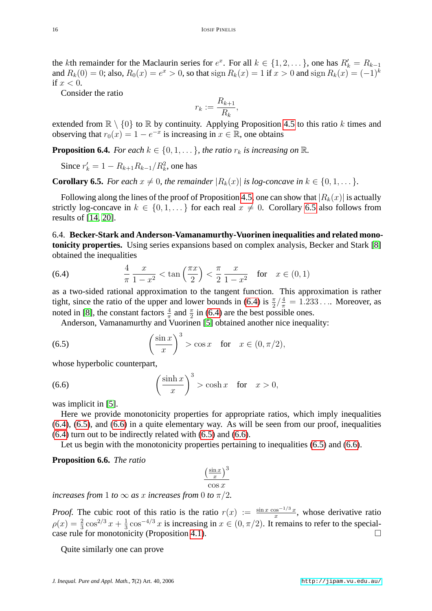the kth remainder for the Maclaurin series for  $e^x$ . For all  $k \in \{1, 2, \dots\}$ , one has  $R'_k = R_{k-1}$ and  $R_k(0) = 0$ ; also,  $R_0(x) = e^x > 0$ , so that sign  $R_k(x) = 1$  if  $x > 0$  and sign  $R_k(x) = (-1)^k$ if  $x < 0$ .

Consider the ratio

$$
r_k := \frac{R_{k+1}}{R_k},
$$

extended from  $\mathbb{R} \setminus \{0\}$  to  $\mathbb{R}$  by continuity. Applying Proposition [4.5](#page-8-1) to this ratio k times and observing that  $r_0(x) = 1 - e^{-x}$  is increasing in  $x \in \mathbb{R}$ , one obtains

**Proposition 6.4.** *For each*  $k \in \{0, 1, \ldots\}$ *, the ratio*  $r_k$  *is increasing on* R.

Since  $r'_{k} = 1 - R_{k+1}R_{k-1}/R_{k}^{2}$ , one has

<span id="page-15-0"></span>**Corollary 6.5.** *For each*  $x \neq 0$ *, the remainder*  $|R_k(x)|$  *is log-concave in*  $k \in \{0, 1, \dots\}$ *.* 

Following along the lines of the proof of Proposition [4.5,](#page-8-1) one can show that  $|R_k(x)|$  is actually strictly log-concave in  $k \in \{0, 1, \dots\}$  for each real  $x \neq 0$ . Corollary [6.5](#page-15-0) also follows from results of [\[14,](#page-17-14) [20\]](#page-18-3).

6.4. **Becker-Stark and Anderson-Vamanamurthy-Vuorinen inequalities and related monotonicity properties.** Using series expansions based on complex analysis, Becker and Stark [\[8\]](#page-17-15) obtained the inequalities

<span id="page-15-1"></span>(6.4) 
$$
\frac{4}{\pi} \frac{x}{1-x^2} < \tan\left(\frac{\pi x}{2}\right) < \frac{\pi}{2} \frac{x}{1-x^2} \text{ for } x \in (0,1)
$$

as a two-sided rational approximation to the tangent function. This approximation is rather tight, since the ratio of the upper and lower bounds in [\(6.4\)](#page-15-1) is  $\frac{\pi}{2} / \frac{4}{\pi} = 1.233...$  Moreover, as noted in [\[8\]](#page-17-15), the constant factors  $\frac{4}{\pi}$  and  $\frac{\pi}{2}$  in [\(6.4\)](#page-15-1) are the best possible ones.

<span id="page-15-3"></span>Anderson, Vamanamurthy and Vuorinen [\[5\]](#page-17-9) obtained another nice inequality:

(6.5) 
$$
\left(\frac{\sin x}{x}\right)^3 > \cos x \quad \text{for} \quad x \in (0, \pi/2),
$$

whose hyperbolic counterpart,

(6.6) 
$$
\left(\frac{\sinh x}{x}\right)^3 > \cosh x \quad \text{for} \quad x > 0,
$$

was implicit in [\[5\]](#page-17-9).

Here we provide monotonicity properties for appropriate ratios, which imply inequalities [\(6.4\)](#page-15-1), [\(6.5\)](#page-15-2), and [\(6.6\)](#page-15-3) in a quite elementary way. As will be seen from our proof, inequalities [\(6.4\)](#page-15-1) turn out to be indirectly related with [\(6.5\)](#page-15-2) and [\(6.6\)](#page-15-3).

Let us begin with the monotonicity properties pertaining to inequalities [\(6.5\)](#page-15-2) and [\(6.6\)](#page-15-3).

<span id="page-15-4"></span>**Proposition 6.6.** *The ratio*

<span id="page-15-2"></span>
$$
\frac{\left(\frac{\sin x}{x}\right)^3}{\cos x}
$$
  
s from 0 to  $\pi/2$ 

*increases from* 1 *to*  $\infty$  *as x increases f* 

*Proof.* The cubic root of this ratio is the ratio  $r(x) := \frac{\sin x \cos^{-1/3} x}{x}$ , whose derivative ratio  $\rho(x) = \frac{2}{3} \cos^{2/3} x + \frac{1}{3}$  $\frac{1}{3}\cos^{-4/3}x$  is increasing in  $x \in (0, \pi/2)$ . It remains to refer to the special-case rule for monotonicity (Proposition [4.1\)](#page-6-1).

<span id="page-15-5"></span>Quite similarly one can prove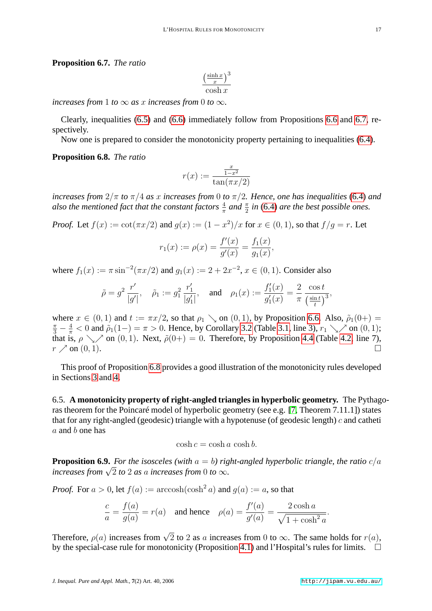#### **Proposition 6.7.** *The ratio*

$$
\frac{\left(\frac{\sinh x}{x}\right)^3}{\cosh x}
$$

*increases from* 1 *to*  $\infty$  *as x increases from* 0 *to*  $\infty$ *.* 

Clearly, inequalities [\(6.5\)](#page-15-2) and [\(6.6\)](#page-15-3) immediately follow from Propositions [6.6](#page-15-4) and [6.7,](#page-15-5) respectively.

Now one is prepared to consider the monotonicity property pertaining to inequalities [\(6.4\)](#page-15-1).

# <span id="page-16-0"></span>**Proposition 6.8.** *The ratio*

$$
r(x) := \frac{\frac{x}{1 - x^2}}{\tan(\pi x/2)}
$$

*increases from*  $2/\pi$  *to*  $\pi/4$  *as* x *increases from* 0 *to*  $\pi/2$ *. Hence, one has inequalities* [\(6.4\)](#page-15-1) *and* also the mentioned fact that the constant factors  $\frac{4}{\pi}$  and  $\frac{\pi}{2}$  in [\(6.4\)](#page-15-1) are the best possible ones.

*Proof.* Let  $f(x) := \cot(\pi x/2)$  and  $g(x) := (1 - x^2)/x$  for  $x \in (0, 1)$ , so that  $f/g = r$ . Let

$$
r_1(x) := \rho(x) = \frac{f'(x)}{g'(x)} = \frac{f_1(x)}{g_1(x)},
$$

where  $f_1(x) := \pi \sin^{-2}(\pi x/2)$  and  $g_1(x) := 2 + 2x^{-2}$ ,  $x \in (0, 1)$ . Consider also

$$
\tilde{\rho} = g^2 \frac{r'}{|g'|}, \quad \tilde{\rho}_1 := g_1^2 \frac{r'_1}{|g'_1|}, \quad \text{and} \quad \rho_1(x) := \frac{f'_1(x)}{g'_1(x)} = \frac{2}{\pi} \frac{\cos t}{\left(\frac{\sin t}{t}\right)^3},
$$

where  $x \in (0, 1)$  and  $t := \pi x/2$ , so that  $\rho_1 \searrow$  on  $(0, 1)$ , by Proposition [6.6.](#page-15-4) Also,  $\tilde{\rho}_1(0+)$  $\frac{\pi}{3} - \frac{4}{\pi} < 0$  and  $\tilde{\rho}_1(1-) = \pi > 0$ . Hence, by Corollary [3.2](#page-5-1) (Table [3.1,](#page-1-0) line 3),  $r_1 \searrow$  on  $(0, 1)$ ; that is,  $\rho \searrow$  on (0, 1). Next,  $\tilde{\rho}(0+)=0$ . Therefore, by Proposition [4.4](#page-8-0) (Table [4.2,](#page-1-1) line 7),  $r \nearrow$  on  $(0, 1)$ .

This proof of Proposition [6.8](#page-16-0) provides a good illustration of the monotonicity rules developed in Sections [3](#page-5-0) and [4.](#page-6-0)

6.5. **A monotonicity property of right-angled triangles in hyperbolic geometry.** The Pythagoras theorem for the Poincaré model of hyperbolic geometry (see e.g. [\[7,](#page-17-16) Theorem 7.11.1]) states that for any right-angled (geodesic) triangle with a hypotenuse (of geodesic length)  $c$  and catheti a and b one has

$$
\cosh c = \cosh a \cosh b.
$$

**Proposition 6.9.** *For the isosceles (with*  $a = b$ ) *right-angled hyperbolic triangle, the ratio*  $c/a$ *i roposition 6.9. For the isoscetes (with*  $a = 0$ *) rig increases from*  $\sqrt{2}$  *to* 2 *as a increases from* 0 *to*  $\infty$ .

*Proof.* For  $a > 0$ , let  $f(a) := \operatorname{arccosh}(\cosh^2 a)$  and  $g(a) := a$ , so that

$$
\frac{c}{a} = \frac{f(a)}{g(a)} = r(a) \quad \text{and hence} \quad \rho(a) = \frac{f'(a)}{g'(a)} = \frac{2\cosh a}{\sqrt{1 + \cosh^2 a}}.
$$

Therefore,  $\rho(a)$  increases from  $\sqrt{2}$  to 2 as a increases from 0 to  $\infty$ . The same holds for  $r(a)$ , by the special-case rule for monotonicity (Proposition [4.1\)](#page-6-1) and l'Hospital's rules for limits.  $\square$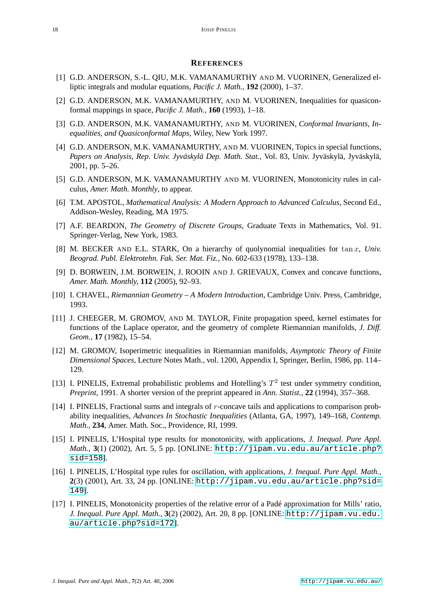#### **REFERENCES**

- <span id="page-17-7"></span>[1] G.D. ANDERSON, S.-L. QIU, M.K. VAMANAMURTHY AND M. VUORINEN, Generalized elliptic integrals and modular equations, *Pacific J. Math.,* **192** (2000), 1–37.
- <span id="page-17-5"></span>[2] G.D. ANDERSON, M.K. VAMANAMURTHY, AND M. VUORINEN, Inequalities for quasiconformal mappings in space, *Pacific J. Math.,* **160** (1993), 1–18.
- <span id="page-17-6"></span>[3] G.D. ANDERSON, M.K. VAMANAMURTHY, AND M. VUORINEN, *Conformal Invariants, Inequalities, and Quasiconformal Maps*, Wiley, New York 1997.
- <span id="page-17-8"></span>[4] G.D. ANDERSON, M.K. VAMANAMURTHY, AND M. VUORINEN, Topics in special functions, *Papers on Analysis, Rep. Univ. Jyväskylä Dep. Math. Stat.*, Vol. 83, Univ. Jyväskylä, Jyväskylä, 2001, pp. 5–26.
- <span id="page-17-9"></span>[5] G.D. ANDERSON, M.K. VAMANAMURTHY AND M. VUORINEN, Monotonicity rules in calculus, *Amer. Math. Monthly*, to appear.
- <span id="page-17-12"></span>[6] T.M. APOSTOL, *Mathematical Analysis: A Modern Approach to Advanced Calculus*, Second Ed., Addison-Wesley, Reading, MA 1975.
- <span id="page-17-16"></span>[7] A.F. BEARDON, *The Geometry of Discrete Groups,* Graduate Texts in Mathematics, Vol. 91. Springer-Verlag, New York, 1983.
- <span id="page-17-15"></span>[8] M. BECKER AND E.L. STARK, On a hierarchy of quolynomial inequalities for tan x, *Univ. Beograd. Publ. Elektrotehn. Fak. Ser. Mat. Fiz.,* No. 602-633 (1978), 133–138.
- <span id="page-17-13"></span>[9] D. BORWEIN, J.M. BORWEIN, J. ROOIN AND J. GRIEVAUX, Convex and concave functions, *Amer. Math. Monthly,* **112** (2005), 92–93.
- <span id="page-17-4"></span>[10] I. CHAVEL, *Riemannian Geometry – A Modern Introduction*, Cambridge Univ. Press, Cambridge, 1993.
- <span id="page-17-1"></span>[11] J. CHEEGER, M. GROMOV, AND M. TAYLOR, Finite propagation speed, kernel estimates for functions of the Laplace operator, and the geometry of complete Riemannian manifolds, *J. Diff. Geom.*, **17** (1982), 15–54.
- <span id="page-17-2"></span>[12] M. GROMOV, Isoperimetric inequalities in Riemannian manifolds, *Asymptotic Theory of Finite Dimensional Spaces*, Lecture Notes Math., vol. 1200, Appendix I, Springer, Berlin, 1986, pp. 114– 129.
- <span id="page-17-3"></span>[13] I. PINELIS, Extremal probabilistic problems and Hotelling's  $T^2$  test under symmetry condition, *Preprint,* 1991. A shorter version of the preprint appeared in *Ann. Statist.,* **22** (1994), 357–368.
- <span id="page-17-14"></span>[14] I. PINELIS, Fractional sums and integrals of r-concave tails and applications to comparison probability inequalities, *Advances In Stochastic Inequalities* (Atlanta, GA, 1997), 149–168, *Contemp. Math.,* **234**, Amer. Math. Soc., Providence, RI, 1999.
- <span id="page-17-10"></span>[15] I. PINELIS, L'Hospital type results for monotonicity, with applications, *J. Inequal. Pure Appl. Math.*, **3**(1) (2002), Art. 5, 5 pp. [ONLINE: [http://jipam.vu.edu.au/article.php?](http://jipam.vu.edu.au/article.php?sid=158) [sid=158](http://jipam.vu.edu.au/article.php?sid=158)].
- <span id="page-17-0"></span>[16] I. PINELIS, L'Hospital type rules for oscillation, with applications, *J. Inequal. Pure Appl. Math.*, **2**(3) (2001), Art. 33, 24 pp. [ONLINE: [http://jipam.vu.edu.au/article.php?sid=](http://jipam.vu.edu.au/article.php?sid=149) [149](http://jipam.vu.edu.au/article.php?sid=149)].
- <span id="page-17-11"></span>[17] I. PINELIS, Monotonicity properties of the relative error of a Padé approximation for Mills' ratio, *J. Inequal. Pure Appl. Math.*, **3**(2) (2002), Art. 20, 8 pp. [ONLINE: [http://jipam.vu.edu.](http://jipam.vu.edu.au/article.php?sid=172) [au/article.php?sid=172](http://jipam.vu.edu.au/article.php?sid=172)].